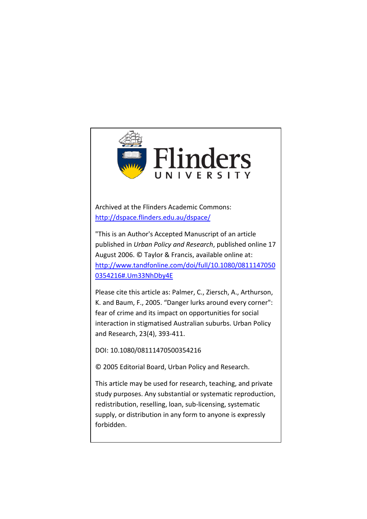

Archived at the Flinders Academic Commons: <http://dspace.flinders.edu.au/dspace/>

"This is an Author's Accepted Manuscript of an article published in *Urban Policy and Research*, published online 17 August 2006. © Taylor & Francis, available online at: [http://www.tandfonline.com/doi/full/10.1080/0811147050](http://www.tandfonline.com/doi/full/10.1080/08111470500354216%23.Um33NhDby4E) [0354216#.Um33NhDby4E](http://www.tandfonline.com/doi/full/10.1080/08111470500354216%23.Um33NhDby4E)

Please cite this article as: Palmer, C., Ziersch, A., Arthurson, K. and Baum, F., 2005. "Danger lurks around every corner": fear of crime and its impact on opportunities for social interaction in stigmatised Australian suburbs. Urban Policy and Research, 23(4), 393-411.

DOI: 10.1080/08111470500354216

© 2005 Editorial Board, Urban Policy and Research.

This article may be used for research, teaching, and private study purposes. Any substantial or systematic reproduction, redistribution, reselling, loan, sub-licensing, systematic supply, or distribution in any form to anyone is expressly forbidden.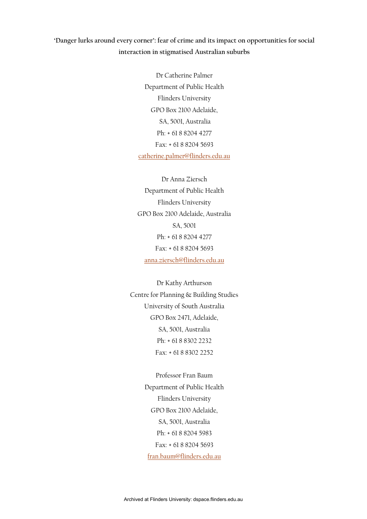**'Danger lurks around every corner': fear of crime and its impact on opportunities for social interaction in stigmatised Australian suburbs** 

> Dr Catherine Palmer Department of Public Health Flinders University GPO Box 2100 Adelaide, SA, 5001, Australia Ph: + 61 8 8204 4277 Fax: + 61 8 8204 5693 [catherine.palmer@flinders.edu.au](mailto:catherine.palmer@flinders.edu.au)

Dr Anna Ziersch Department of Public Health Flinders University GPO Box 2100 Adelaide, Australia SA, 5001 Ph: + 61 8 8204 4277 Fax: + 61 8 8204 5693 [anna.ziersch@flinders.edu.au](mailto:anna.ziersch@flinders.edu.au)

Dr Kathy Arthurson Centre for Planning & Building Studies University of South Australia GPO Box 2471, Adelaide, SA, 5001, Australia Ph: + 61 8 8302 2232 Fax: + 61 8 8302 2252

> Professor Fran Baum Department of Public Health Flinders University GPO Box 2100 Adelaide, SA, 5001, Australia Ph: + 61 8 8204 5983 Fax: + 61 8 8204 5693 [fran.baum@flinders.edu.au](mailto:fran.baum@flinders.edu.au)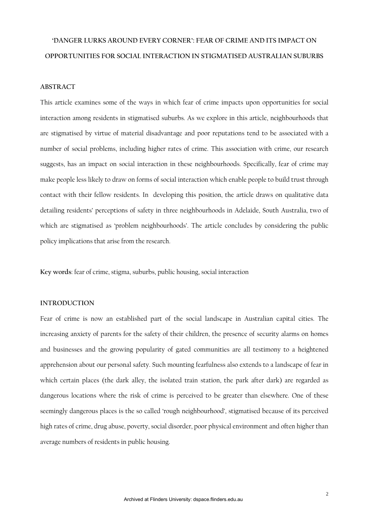# **'DANGER LURKS AROUND EVERY CORNER': FEAR OF CRIME AND ITS IMPACT ON OPPORTUNITIES FOR SOCIAL INTERACTION IN STIGMATISED AUSTRALIAN SUBURBS**

## **ABSTRACT**

This article examines some of the ways in which fear of crime impacts upon opportunities for social interaction among residents in stigmatised suburbs. As we explore in this article, neighbourhoods that are stigmatised by virtue of material disadvantage and poor reputations tend to be associated with a number of social problems, including higher rates of crime. This association with crime, our research suggests, has an impact on social interaction in these neighbourhoods. Specifically, fear of crime may make people less likely to draw on forms of social interaction which enable people to build trust through contact with their fellow residents. In developing this position, the article draws on qualitative data detailing residents' perceptions of safety in three neighbourhoods in Adelaide, South Australia, two of which are stigmatised as 'problem neighbourhoods'. The article concludes by considering the public policy implications that arise from the research.

**Key words**: fear of crime, stigma, suburbs, public housing, social interaction

## **INTRODUCTION**

Fear of crime is now an established part of the social landscape in Australian capital cities. The increasing anxiety of parents for the safety of their children, the presence of security alarms on homes and businesses and the growing popularity of gated communities are all testimony to a heightened apprehension about our personal safety. Such mounting fearfulness also extends to a landscape of fear in which certain places (the dark alley, the isolated train station, the park after dark) are regarded as dangerous locations where the risk of crime is perceived to be greater than elsewhere. One of these seemingly dangerous places is the so called 'rough neighbourhood', stigmatised because of its perceived high rates of crime, drug abuse, poverty, social disorder, poor physical environment and often higher than average numbers of residents in public housing.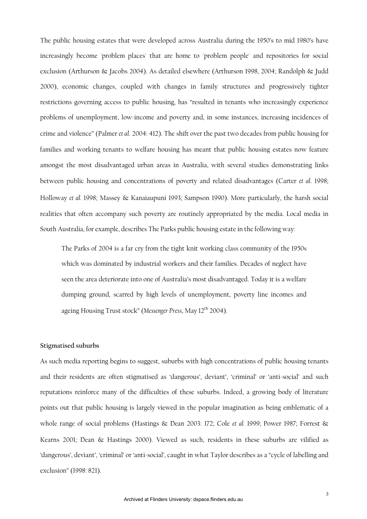The public housing estates that were developed across Australia during the 1950's to mid 1980's have increasingly become 'problem places' that are home to 'problem people' and repositories for social exclusion (Arthurson & Jacobs 2004). As detailed elsewhere (Arthurson 1998, 2004; Randolph & Judd 2000), economic changes, coupled with changes in family structures and progressively tighter restrictions governing access to public housing, has "resulted in tenants who increasingly experience problems of unemployment, low-income and poverty and, in some instances, increasing incidences of crime and violence" (Palmer *et al*. 2004: 412). The shift over the past two decades from public housing for families and working tenants to welfare housing has meant that public housing estates now feature amongst the most disadvantaged urban areas in Australia, with several studies demonstrating links between public housing and concentrations of poverty and related disadvantages (Carter *et al*. 1998; Holloway *et al.* 1998; Massey & Kanaiaupuni 1993; Sampson 1990). More particularly, the harsh social realities that often accompany such poverty are routinely appropriated by the media. Local media in South Australia, for example, describes The Parks public housing estate in the following way:

The Parks of 2004 is a far cry from the tight knit working class community of the 1950s which was dominated by industrial workers and their families. Decades of neglect have seen the area deteriorate into one of Australia's most disadvantaged. Today it is a welfare dumping ground, scarred by high levels of unemployment, poverty line incomes and ageing Housing Trust stock" (Messenger Press, May 12<sup>th</sup> 2004).

#### **Stigmatised suburbs**

As such media reporting begins to suggest, suburbs with high concentrations of public housing tenants and their residents are often stigmatised as 'dangerous', deviant', 'criminal' or 'anti-social' and such reputations reinforce many of the difficulties of these suburbs. Indeed, a growing body of literature points out that public housing is largely viewed in the popular imagination as being emblematic of a whole range of social problems (Hastings & Dean 2003: 172; Cole *et al.* 1999; Power 1987; Forrest & Kearns 2001; Dean & Hastings 2000). Viewed as such, residents in these suburbs are vilified as 'dangerous', deviant', 'criminal' or 'anti-social', caught in what Taylor describes as a "cycle of labelling and exclusion" (1998: 821).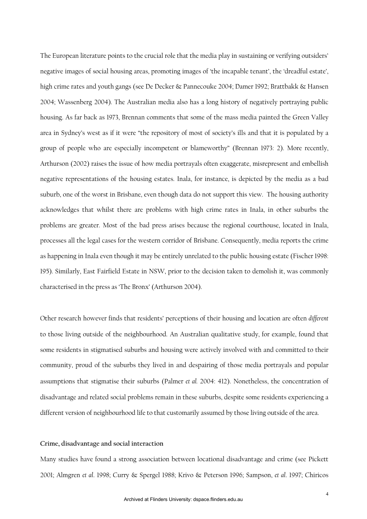The European literature points to the crucial role that the media play in sustaining or verifying outsiders' negative images of social housing areas, promoting images of 'the incapable tenant', the 'dreadful estate', high crime rates and youth gangs (see De Decker & Pannecouke 2004; Damer 1992; Brattbakk & Hansen 2004; Wassenberg 2004). The Australian media also has a long history of negatively portraying public housing. As far back as 1973, Brennan comments that some of the mass media painted the Green Valley area in Sydney's west as if it were "the repository of most of society's ills and that it is populated by a group of people who are especially incompetent or blameworthy" (Brennan 1973: 2). More recently, Arthurson (2002) raises the issue of how media portrayals often exaggerate, misrepresent and embellish negative representations of the housing estates. Inala, for instance, is depicted by the media as a bad suburb, one of the worst in Brisbane, even though data do not support this view. The housing authority acknowledges that whilst there are problems with high crime rates in Inala, in other suburbs the problems are greater. Most of the bad press arises because the regional courthouse, located in Inala, processes all the legal cases for the western corridor of Brisbane. Consequently, media reports the crime as happening in Inala even though it may be entirely unrelated to the public housing estate (Fischer 1998: 195). Similarly, East Fairfield Estate in NSW, prior to the decision taken to demolish it, was commonly characterised in the press as 'The Bronx' (Arthurson 2004).

Other research however finds that residents' perceptions of their housing and location are often *different* to those living outside of the neighbourhood. An Australian qualitative study, for example, found that some residents in stigmatised suburbs and housing were actively involved with and committed to their community, proud of the suburbs they lived in and despairing of those media portrayals and popular assumptions that stigmatise their suburbs (Palmer *et al.* 2004: 412). Nonetheless, the concentration of disadvantage and related social problems remain in these suburbs, despite some residents experiencing a different version of neighbourhood life to that customarily assumed by those living outside of the area.

## **Crime, disadvantage and social interaction**

Many studies have found a strong association between locational disadvantage and crime (see Pickett 2001; Almgren *et al*. 1998; Curry & Spergel 1988; Krivo & Peterson 1996; Sampson, *et al*. 1997; Chiricos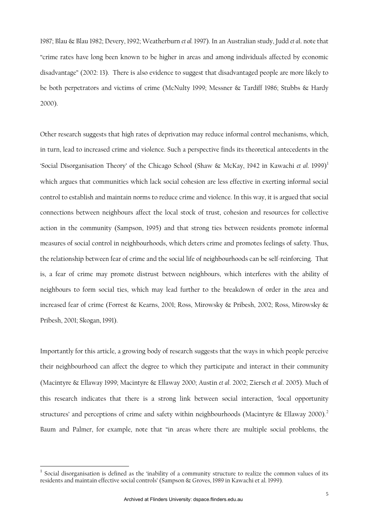1987; Blau & Blau 1982; Devery, 1992; Weatherburn *et al.* 1997). In an Australian study, Judd *et a*l. note that "crime rates have long been known to be higher in areas and among individuals affected by economic disadvantage" (2002: 13). There is also evidence to suggest that disadvantaged people are more likely to be both perpetrators and victims of crime (McNulty 1999; Messner & Tardiff 1986; Stubbs & Hardy 2000).

Other research suggests that high rates of deprivation may reduce informal control mechanisms, which, in turn, lead to increased crime and violence. Such a perspective finds its theoretical antecedents in the 'Social Disorganisation Theory' of the Chicago School (Shaw & McKay, 1942 in Kawachi *et al*. 1999) [1](#page-5-0) which argues that communities which lack social cohesion are less effective in exerting informal social control to establish and maintain norms to reduce crime and violence. In this way, it is argued that social connections between neighbours affect the local stock of trust, cohesion and resources for collective action in the community (Sampson, 1995) and that strong ties between residents promote informal measures of social control in neighbourhoods, which deters crime and promotes feelings of safety. Thus, the relationship between fear of crime and the social life of neighbourhoods can be self-reinforcing. That is, a fear of crime may promote distrust between neighbours, which interferes with the ability of neighbours to form social ties, which may lead further to the breakdown of order in the area and increased fear of crime (Forrest & Kearns, 2001; Ross, Mirowsky & Pribesh, 2002; Ross, Mirowsky & Pribesh, 2001; Skogan, 1991).

Importantly for this article, a growing body of research suggests that the ways in which people perceive their neighbourhood can affect the degree to which they participate and interact in their community (Macintyre & Ellaway 1999; Macintyre & Ellaway 2000; Austin *et al*. 2002; Ziersch *et al*. 2005). Much of this research indicates that there is a strong link between social interaction, 'local opportunity structures' and perceptions of crime and safety within neighbourhoods (Macintyre  $\&$  Ellaway [2](#page-5-1)000).<sup>2</sup> Baum and Palmer, for example, note that "in areas where there are multiple social problems, the

<span id="page-5-1"></span> $\overline{a}$ 

<span id="page-5-0"></span>Social disorganisation is defined as the 'inability of a community structure to realize the common values of its residents and maintain effective social controls' (Sampson & Groves, 1989 in Kawachi et al. 1999).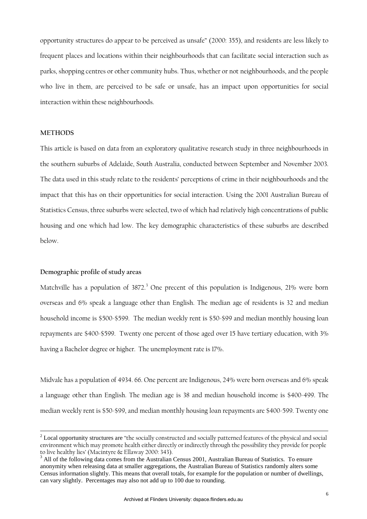opportunity structures do appear to be perceived as unsafe" (2000: 355), and residents are less likely to frequent places and locations within their neighbourhoods that can facilitate social interaction such as parks, shopping centres or other community hubs. Thus, whether or not neighbourhoods, and the people who live in them, are perceived to be safe or unsafe, has an impact upon opportunities for social interaction within these neighbourhoods.

## **METHODS**

-

This article is based on data from an exploratory qualitative research study in three neighbourhoods in the southern suburbs of Adelaide, South Australia, conducted between September and November 2003. The data used in this study relate to the residents' perceptions of crime in their neighbourhoods and the impact that this has on their opportunities for social interaction. Using the 2001 Australian Bureau of Statistics Census, three suburbs were selected, two of which had relatively high concentrations of public housing and one which had low. The key demographic characteristics of these suburbs are described below.

#### **Demographic profile of study areas**

Matchville has a population of  $3872$  $3872$ <sup>3</sup> One precent of this population is Indigenous,  $21\%$  were born overseas and 6% speak a language other than English. The median age of residents is 32 and median household income is \$500-\$599. The median weekly rent is \$50-\$99 and median monthly housing loan repayments are \$400-\$599. Twenty one percent of those aged over 15 have tertiary education, with 3% having a Bachelor degree or higher. The unemployment rate is 17%.

Midvale has a population of 4934. 66. One percent are Indigenous, 24% were born overseas and 6% speak a language other than English. The median age is 38 and median household income is \$400-499. The median weekly rent is \$50-\$99, and median monthly housing loan repayments are \$400-599. Twenty one

<sup>&</sup>lt;sup>2</sup> Local opportunity structures are "the socially constructed and socially patterned features of the physical and social environment which may promote health either directly or indirectly through the possibility they provide for people to live healthy lies' (Macintyre & Ellaway 2000: 343).

<span id="page-6-0"></span><sup>&</sup>lt;sup>3</sup> All of the following data comes from the Australian Census 2001, Australian Bureau of Statistics. To ensure anonymity when releasing data at smaller aggregations, the Australian Bureau of Statistics randomly alters some Census information slightly. This means that overall totals, for example for the population or number of dwellings, can vary slightly. Percentages may also not add up to 100 due to rounding.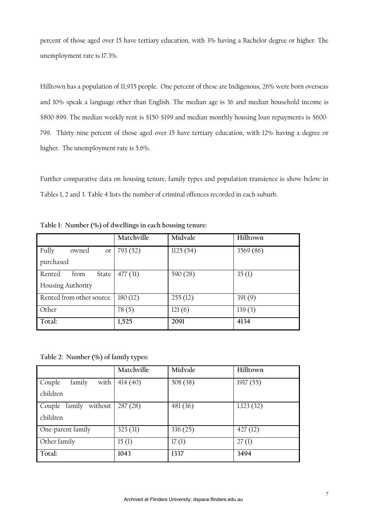percent of those aged over 15 have tertiary education, with 3% having a Bachelor degree or higher. The unemployment rate is 17.3%.

Hilltown has a population of 11,935 people. One percent of these are Indigenous, 26% were born overseas and 10% speak a language other than English. The median age is 36 and median household income is \$800-899. The median weekly rent is \$150-\$199 and median monthly housing loan repayments is \$600- 799. Thirty nine percent of those aged over 15 have tertiary education, with 12% having a degree or higher. The unemployment rate is 5.6%.

Further comparative data on housing tenure, family types and population transience is show below in Tables 1, 2 and 3. Table 4 lists the number of criminal offences recorded in each suburb.

|                          | Matchville | Midvale  | Hilltown  |
|--------------------------|------------|----------|-----------|
| Fully<br>owned<br>or     | 793 (52)   | 1125(54) | 3569 (86) |
| purchased                |            |          |           |
| Rented<br>State<br>trom  | 477(31)    | 590 (28) | 35(1)     |
| Housing Authority        |            |          |           |
| Rented from other source | 180(12)    | 255(12)  | 391(9)    |
| Other                    | 78(5)      | 121(6)   | 139(3)    |
| Total:                   | 1,525      | 2091     | 4134      |

**Table 1: Number (%) of dwellings in each housing tenure:**

**Table 2: Number (%) of family types:**

|                             | Matchville | Midvale  | Hilltown  |
|-----------------------------|------------|----------|-----------|
| with  <br>Couple<br>family  | 414(40)    | 508 (38) | 1917(55)  |
| children                    |            |          |           |
| family<br>without<br>Couple | 287(28)    | 481(36)  | 1,123(32) |
| children                    |            |          |           |
| One-parent family           | 323(31)    | 336(25)  | 427(12)   |
| Other family                | 15(1)      | 17(1)    | 27(1)     |
| Total:                      | 1043       | 1337     | 3494      |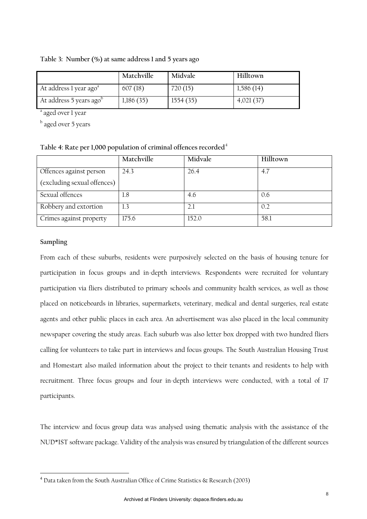| Table 3: Number (%) at same address 1 and 5 years ago |  |  |
|-------------------------------------------------------|--|--|
|-------------------------------------------------------|--|--|

|                                     | Matchville | Midvale  | Hilltown  |
|-------------------------------------|------------|----------|-----------|
| At address 1 year ago <sup>a</sup>  | 607(18)    | 720(15)  | 1,586(14) |
| At address 5 years ago <sup>p</sup> | 1,186(35)  | 1554(35) | 4,021(37) |

aged over 1 year

**b** aged over 5 years

# Table [4](#page-8-0): Rate per 1,000 population of criminal offences recorded<sup>4</sup>

|                             | Matchville | Midvale | Hilltown |
|-----------------------------|------------|---------|----------|
| Offences against person     | 24.3       | 26.4    | 4.7      |
| (excluding sexual offences) |            |         |          |
| Sexual offences             | 1.8        | 4.6     | 0.6      |
| Robbery and extortion       | 1.3        | 2.1     | 0.2      |
| Crimes against property     | 175.6      | 152.0   | 58.1     |

## **Sampling**

 $\overline{a}$ 

From each of these suburbs, residents were purposively selected on the basis of housing tenure for participation in focus groups and in-depth interviews. Respondents were recruited for voluntary participation via fliers distributed to primary schools and community health services, as well as those placed on noticeboards in libraries, supermarkets, veterinary, medical and dental surgeries, real estate agents and other public places in each area. An advertisement was also placed in the local community newspaper covering the study areas. Each suburb was also letter box dropped with two hundred fliers calling for volunteers to take part in interviews and focus groups. The South Australian Housing Trust and Homestart also mailed information about the project to their tenants and residents to help with recruitment. Three focus groups and four in-depth interviews were conducted, with a total of 17 participants.

The interview and focus group data was analysed using thematic analysis with the assistance of the NUD\*IST software package. Validity of the analysis was ensured by triangulation of the different sources

<span id="page-8-0"></span><sup>&</sup>lt;sup>4</sup> Data taken from the South Australian Office of Crime Statistics & Research (2003)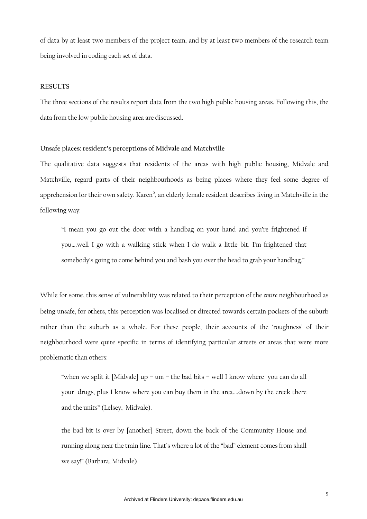of data by at least two members of the project team, and by at least two members of the research team being involved in coding each set of data.

## **RESULTS**

The three sections of the results report data from the two high public housing areas. Following this, the data from the low public housing area are discussed.

#### **Unsafe places: resident's perceptions of Midvale and Matchville**

The qualitative data suggests that residents of the areas with high public housing, Midvale and Matchville, regard parts of their neighbourhoods as being places where they feel some degree of apprehension for their own safety. Karen<sup>[5](#page-9-0)</sup>, an elderly female resident describes living in Matchville in the following way:

"I mean you go out the door with a handbag on your hand and you're frightened if you….well I go with a walking stick when I do walk a little bit. I'm frightened that somebody's going to come behind you and bash you over the head to grab your handbag."

While for some, this sense of vulnerability was related to their perception of the *entire* neighbourhood as being unsafe, for others, this perception was localised or directed towards certain pockets of the suburb rather than the suburb as a whole. For these people, their accounts of the 'roughness' of their neighbourhood were quite specific in terms of identifying particular streets or areas that were more problematic than others:

"when we split it [Midvale] up – um – the bad bits – well I know where you can do all your drugs, plus I know where you can buy them in the area….down by the creek there and the units" (Lelsey, Midvale).

<span id="page-9-0"></span>the bad bit is over by [another] Street, down the back of the Community House and running along near the train line. That's where a lot of the "bad" element comes from shall we say!" (Barbara, Midvale)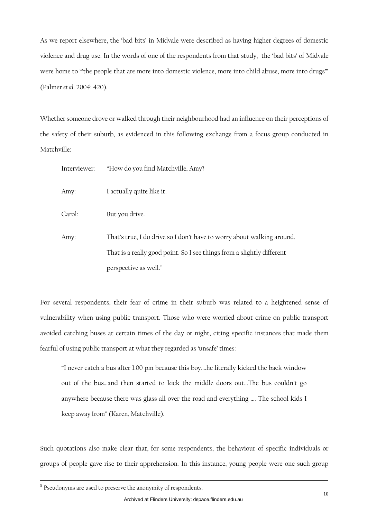As we report elsewhere, the 'bad bits' in Midvale were described as having higher degrees of domestic violence and drug use. In the words of one of the respondents from that study, the 'bad bits' of Midvale were home to "'the people that are more into domestic violence, more into child abuse, more into drugs'" (Palmer *et al*. 2004: 420).

Whether someone drove or walked through their neighbourhood had an influence on their perceptions of the safety of their suburb, as evidenced in this following exchange from a focus group conducted in Matchville:

| Interviewer: | "How do you find Matchville, Amy?                                      |
|--------------|------------------------------------------------------------------------|
| Amy:         | I actually quite like it.                                              |
| Carol:       | But you drive.                                                         |
| Amy:         | That's true, I do drive so I don't have to worry about walking around. |
|              | That is a really good point. So I see things from a slightly different |
|              | perspective as well."                                                  |

For several respondents, their fear of crime in their suburb was related to a heightened sense of vulnerability when using public transport. Those who were worried about crime on public transport avoided catching buses at certain times of the day or night, citing specific instances that made them fearful of using public transport at what they regarded as 'unsafe' times:

"I never catch a bus after 1.00 pm because this boy….he literally kicked the back window out of the bus…and then started to kick the middle doors out…The bus couldn't go anywhere because there was glass all over the road and everything …. The school kids I keep away from" (Karen, Matchville).

Such quotations also make clear that, for some respondents, the behaviour of specific individuals or groups of people gave rise to their apprehension. In this instance, young people were one such group

<u>.</u>

 $<sup>5</sup>$  Pseudonyms are used to preserve the anonymity of respondents.</sup>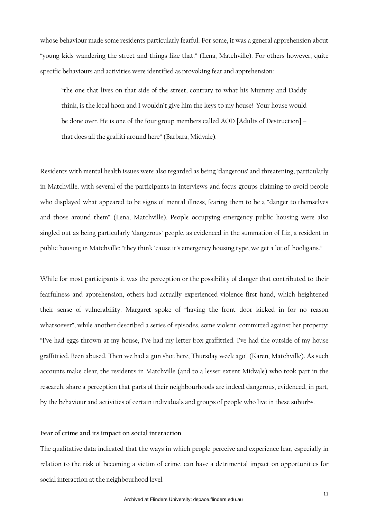whose behaviour made some residents particularly fearful. For some, it was a general apprehension about "young kids wandering the street and things like that." (Lena, Matchville). For others however, quite specific behaviours and activities were identified as provoking fear and apprehension:

"the one that lives on that side of the street, contrary to what his Mummy and Daddy think, is the local hoon and I wouldn't give him the keys to my house! Your house would be done over. He is one of the four group members called AOD [Adults of Destruction] – that does all the graffiti around here" (Barbara, Midvale).

Residents with mental health issues were also regarded as being 'dangerous' and threatening, particularly in Matchville, with several of the participants in interviews and focus groups claiming to avoid people who displayed what appeared to be signs of mental illness, fearing them to be a "danger to themselves and those around them" (Lena, Matchville). People occupying emergency public housing were also singled out as being particularly 'dangerous' people, as evidenced in the summation of Liz, a resident in public housing in Matchville: "they think 'cause it's emergency housing type, we get a lot of hooligans."

While for most participants it was the perception or the possibility of danger that contributed to their fearfulness and apprehension, others had actually experienced violence first hand, which heightened their sense of vulnerability. Margaret spoke of "having the front door kicked in for no reason whatsoever", while another described a series of episodes, some violent, committed against her property: "I've had eggs thrown at my house, I've had my letter box graffittied. I've had the outside of my house graffittied. Been abused. Then we had a gun shot here, Thursday week ago" (Karen, Matchville). As such accounts make clear, the residents in Matchville (and to a lesser extent Midvale) who took part in the research, share a perception that parts of their neighbourhoods are indeed dangerous, evidenced, in part, by the behaviour and activities of certain individuals and groups of people who live in these suburbs.

#### **Fear of crime and its impact on social interaction**

The qualitative data indicated that the ways in which people perceive and experience fear, especially in relation to the risk of becoming a victim of crime, can have a detrimental impact on opportunities for social interaction at the neighbourhood level.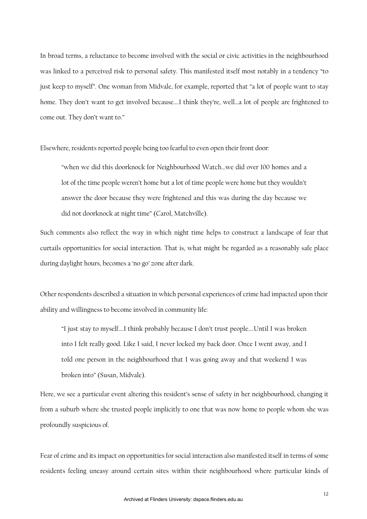In broad terms, a reluctance to become involved with the social or civic activities in the neighbourhood was linked to a perceived risk to personal safety. This manifested itself most notably in a tendency "to just keep to myself". One woman from Midvale, for example, reported that "a lot of people want to stay home. They don't want to get involved because….I think they're, well…a lot of people are frightened to come out. They don't want to."

Elsewhere, residents reported people being too fearful to even open their front door:

"when we did this doorknock for Neighbourhood Watch…we did over 100 homes and a lot of the time people weren't home but a lot of time people were home but they wouldn't answer the door because they were frightened and this was during the day because we did not doorknock at night time" (Carol, Matchville).

Such comments also reflect the way in which night time helps to construct a landscape of fear that curtails opportunities for social interaction. That is, what might be regarded as a reasonably safe place during daylight hours, becomes a 'no go' zone after dark.

Other respondents described a situation in which personal experiences of crime had impacted upon their ability and willingness to become involved in community life:

"I just stay to myself….I think probably because I don't trust people….Until I was broken into I felt really good. Like I said, I never locked my back door. Once I went away, and I told one person in the neighbourhood that I was going away and that weekend I was broken into" (Susan, Midvale).

Here, we see a particular event altering this resident's sense of safety in her neighbourhood, changing it from a suburb where she trusted people implicitly to one that was now home to people whom she was profoundly suspicious of.

Fear of crime and its impact on opportunities for social interaction also manifested itself in terms of some residents feeling uneasy around certain sites within their neighbourhood where particular kinds of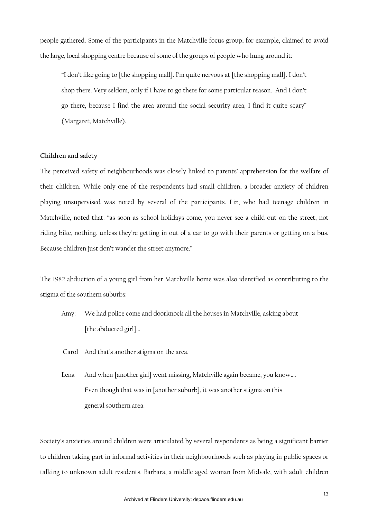people gathered. Some of the participants in the Matchville focus group, for example, claimed to avoid the large, local shopping centre because of some of the groups of people who hung around it:

"I don't like going to [the shopping mall]. I'm quite nervous at [the shopping mall]. I don't shop there. Very seldom, only if I have to go there for some particular reason. And I don't go there, because I find the area around the social security area, I find it quite scary" (Margaret, Matchville).

#### **Children and safety**

The perceived safety of neighbourhoods was closely linked to parents' apprehension for the welfare of their children. While only one of the respondents had small children, a broader anxiety of children playing unsupervised was noted by several of the participants. Liz, who had teenage children in Matchville, noted that: "as soon as school holidays come, you never see a child out on the street, not riding bike, nothing, unless they're getting in out of a car to go with their parents or getting on a bus. Because children just don't wander the street anymore."

The 1982 abduction of a young girl from her Matchville home was also identified as contributing to the stigma of the southern suburbs:

- Amy: We had police come and doorknock all the houses in Matchville, asking about [the abducted girl]…
- Carol And that's another stigma on the area.
- Lena And when [another girl] went missing, Matchville again became, you know…. Even though that was in [another suburb], it was another stigma on this general southern area.

Society's anxieties around children were articulated by several respondents as being a significant barrier to children taking part in informal activities in their neighbourhoods such as playing in public spaces or talking to unknown adult residents. Barbara, a middle aged woman from Midvale, with adult children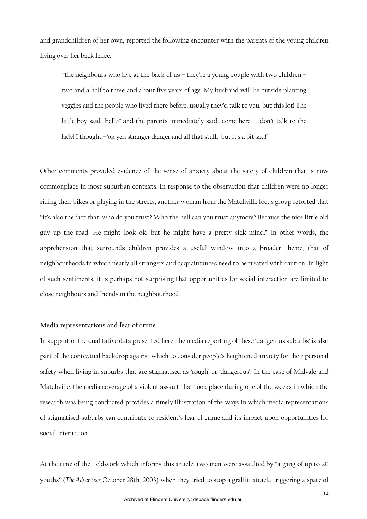and grandchildren of her own, reported the following encounter with the parents of the young children living over her back fence:

"the neighbours who live at the back of us – they're a young couple with two children – two and a half to three and about five years of age. My husband will be outside planting veggies and the people who lived there before, usually they'd talk to you, but this lot! The little boy said "hello" and the parents immediately said "come here! – don't talk to the lady! I thought -'ok yeh stranger danger and all that stuff,' but it's a bit sad!"

Other comments provided evidence of the sense of anxiety about the safety of children that is now commonplace in most suburban contexts. In response to the observation that children were no longer riding their bikes or playing in the streets, another woman from the Matchville focus group retorted that "it's also the fact that, who do you trust? Who the hell can you trust anymore? Because the nice little old guy up the road. He might look ok, but he might have a pretty sick mind." In other words, the apprehension that surrounds children provides a useful window into a broader theme; that of neighbourhoods in which nearly all strangers and acquaintances need to be treated with caution. In light of such sentiments, it is perhaps not surprising that opportunities for social interaction are limited to close neighbours and friends in the neighbourhood.

#### **Media representations and fear of crime**

In support of the qualitative data presented here, the media reporting of these 'dangerous suburbs' is also part of the contextual backdrop against which to consider people's heightened anxiety for their personal safety when living in suburbs that are stigmatised as 'rough' or 'dangerous'. In the case of Midvale and Matchville, the media coverage of a violent assault that took place during one of the weeks in which the research was being conducted provides a timely illustration of the ways in which media representations of stigmatised suburbs can contribute to resident's fear of crime and its impact upon opportunities for social interaction.

At the time of the fieldwork which informs this article, two men were assaulted by "a gang of up to 20 youths" (*The Advertiser* October 28th, 2003) when they tried to stop a graffiti attack, triggering a spate of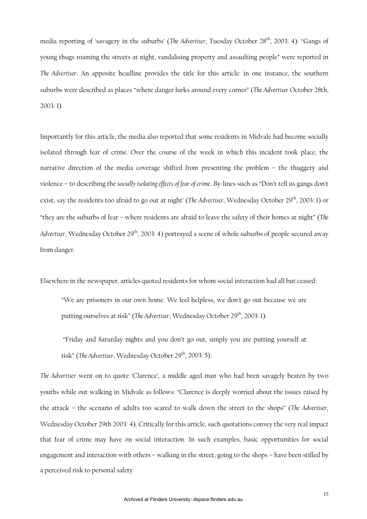media reporting of 'savagery in the suburbs' (*The Advertiser*, Tuesday October 28<sup>th</sup>, 2003: 4). "Gangs of young thugs roaming the streets at night, vandalising property and assaulting people" were reported in *The Advertiser*. An apposite headline provides the title for this article: in one instance, the southern suburbs were described as places "where danger lurks around every corner" (*The Advertiser* October 28th, 2003: 1).

Importantly for this article, the media also reported that some residents in Midvale had become socially isolated through fear of crime. Over the course of the week in which this incident took place, the narrative direction of the media coverage shifted from presenting the problem – the thuggery and violence – to describing the *socially isolating effects of fear of crim*e. By-lines such as "Don't tell us gangs don't exist, say the residents too afraid to go out at night' (*The Advertiser*, Wednesday October 29<sup>th</sup>, 2003: 1) or "they are the suburbs of fear – where residents are afraid to leave the safety of their homes at night" (*The Advertiser*, Wednesday October 29<sup>th</sup>, 2003: 4) portrayed a scene of whole suburbs of people secured away from danger.

Elsewhere in the newspaper, articles quoted residents for whom social interaction had all but ceased:

"We are prisoners in our own home. We feel helpless, we don't go out because we are putting ourselves at risk" (*The Advertiser*, Wednesday October 29<sup>th</sup>, 2003: 1).

"Friday and Saturday nights and you don't go out, simply you are putting yourself at risk" (*The Advertiser*, Wednesday October 29<sup>th</sup>, 2003: 5).

*The Advertiser* went on to quote 'Clarence', a middle aged man who had been savagely beaten by two youths while out walking in Midvale as follows: "Clarence is deeply worried about the issues raised by the attack – the scenario of adults too scared to walk down the street to the shops" (*The Advertiser*, Wednesday October 29th 2003: 4). Critically for this article, such quotations convey the very real impact that fear of crime may have on social interaction. In such examples, basic opportunities for social engagement and interaction with others – walking in the street, going to the shops – have been stifled by a perceived risk to personal safety.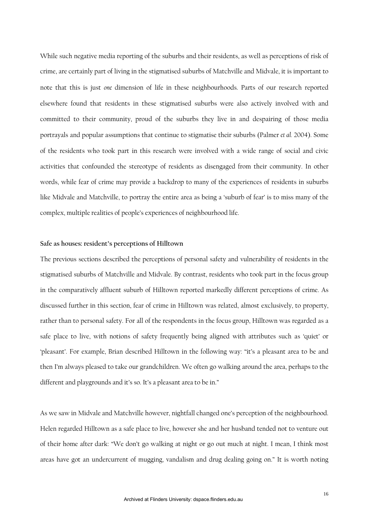While such negative media reporting of the suburbs and their residents, as well as perceptions of risk of crime, are certainly part of living in the stigmatised suburbs of Matchville and Midvale, it is important to note that this is just *one* dimension of life in these neighbourhoods. Parts of our research reported elsewhere found that residents in these stigmatised suburbs were also actively involved with and committed to their community, proud of the suburbs they live in and despairing of those media portrayals and popular assumptions that continue to stigmatise their suburbs (Palmer *et al.* 2004). Some of the residents who took part in this research were involved with a wide range of social and civic activities that confounded the stereotype of residents as disengaged from their community. In other words, while fear of crime may provide a backdrop to many of the experiences of residents in suburbs like Midvale and Matchville, to portray the entire area as being a 'suburb of fear' is to miss many of the complex, multiple realities of people's experiences of neighbourhood life.

#### **Safe as houses: resident's perceptions of Hilltown**

The previous sections described the perceptions of personal safety and vulnerability of residents in the stigmatised suburbs of Matchville and Midvale. By contrast, residents who took part in the focus group in the comparatively affluent suburb of Hilltown reported markedly different perceptions of crime. As discussed further in this section, fear of crime in Hilltown was related, almost exclusively, to property, rather than to personal safety. For all of the respondents in the focus group, Hilltown was regarded as a safe place to live, with notions of safety frequently being aligned with attributes such as 'quiet' or 'pleasant'. For example, Brian described Hilltown in the following way: "it's a pleasant area to be and then I'm always pleased to take our grandchildren. We often go walking around the area, perhaps to the different and playgrounds and it's so. It's a pleasant area to be in."

As we saw in Midvale and Matchville however, nightfall changed one's perception of the neighbourhood. Helen regarded Hilltown as a safe place to live, however she and her husband tended not to venture out of their home after dark: "We don't go walking at night or go out much at night. I mean, I think most areas have got an undercurrent of mugging, vandalism and drug dealing going on." It is worth noting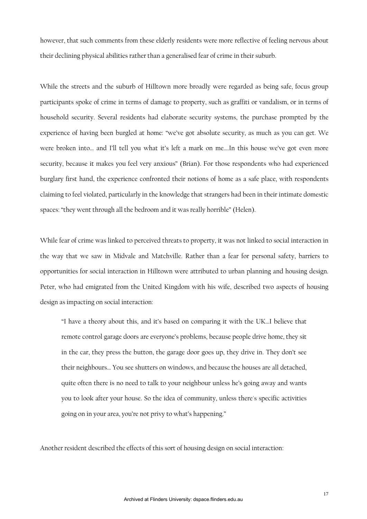however, that such comments from these elderly residents were more reflective of feeling nervous about their declining physical abilities rather than a generalised fear of crime in their suburb.

While the streets and the suburb of Hilltown more broadly were regarded as being safe, focus group participants spoke of crime in terms of damage to property, such as graffiti or vandalism, or in terms of household security. Several residents had elaborate security systems, the purchase prompted by the experience of having been burgled at home: "we've got absolute security, as much as you can get. We were broken into… and I'll tell you what it's left a mark on me….In this house we've got even more security, because it makes you feel very anxious" (Brian). For those respondents who had experienced burglary first hand, the experience confronted their notions of home as a safe place, with respondents claiming to feel violated, particularly in the knowledge that strangers had been in their intimate domestic spaces: "they went through all the bedroom and it was really horrible" (Helen).

While fear of crime was linked to perceived threats to property, it was not linked to social interaction in the way that we saw in Midvale and Matchville. Rather than a fear for personal safety, barriers to opportunities for social interaction in Hilltown were attributed to urban planning and housing design. Peter, who had emigrated from the United Kingdom with his wife, described two aspects of housing design as impacting on social interaction:

"I have a theory about this, and it's based on comparing it with the UK…I believe that remote control garage doors are everyone's problems, because people drive home, they sit in the car, they press the button, the garage door goes up, they drive in. They don't see their neighbours… You see shutters on windows, and because the houses are all detached, quite often there is no need to talk to your neighbour unless he's going away and wants you to look after your house. So the idea of community, unless there's specific activities going on in your area, you're not privy to what's happening."

Another resident described the effects of this sort of housing design on social interaction: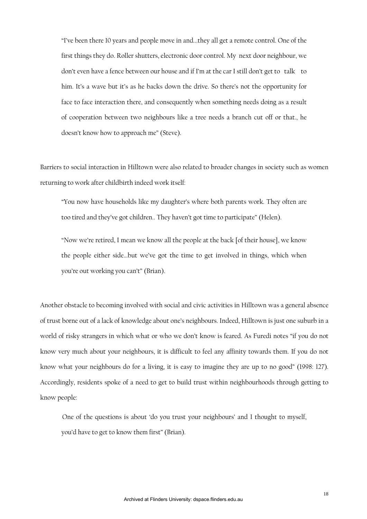"I've been there 10 years and people move in and...they all get a remote control. One of the first things they do. Roller shutters, electronic door control. My next door neighbour, we don't even have a fence between our house and if I'm at the car I still don't get to talk to him. It's a wave but it's as he backs down the drive. So there's not the opportunity for face to face interaction there, and consequently when something needs doing as a result of cooperation between two neighbours like a tree needs a branch cut off or that., he doesn't know how to approach me" (Steve).

Barriers to social interaction in Hilltown were also related to broader changes in society such as women returning to work after childbirth indeed work itself:

"You now have households like my daughter's where both parents work. They often are too tired and they've got children.. They haven't got time to participate" (Helen).

"Now we're retired, I mean we know all the people at the back [of their house], we know the people either side…but we've got the time to get involved in things, which when you're out working you can't" (Brian).

Another obstacle to becoming involved with social and civic activities in Hilltown was a general absence of trust borne out of a lack of knowledge about one's neighbours. Indeed, Hilltown is just one suburb in a world of risky strangers in which what or who we don't know is feared. As Furedi notes "if you do not know very much about your neighbours, it is difficult to feel any affinity towards them. If you do not know what your neighbours do for a living, it is easy to imagine they are up to no good" (1998: 127). Accordingly, residents spoke of a need to get to build trust within neighbourhoods through getting to know people:

One of the questions is about 'do you trust your neighbours' and I thought to myself, you'd have to get to know them first" (Brian).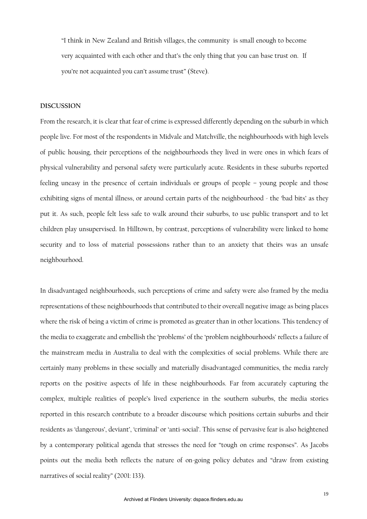"I think in New Zealand and British villages, the community is small enough to become very acquainted with each other and that's the only thing that you can base trust on. If you're not acquainted you can't assume trust" (Steve).

#### **DISCUSSION**

From the research, it is clear that fear of crime is expressed differently depending on the suburb in which people live. For most of the respondents in Midvale and Matchville, the neighbourhoods with high levels of public housing, their perceptions of the neighbourhoods they lived in were ones in which fears of physical vulnerability and personal safety were particularly acute. Residents in these suburbs reported feeling uneasy in the presence of certain individuals or groups of people – young people and those exhibiting signs of mental illness, or around certain parts of the neighbourhood - the 'bad bits' as they put it. As such, people felt less safe to walk around their suburbs, to use public transport and to let children play unsupervised. In Hilltown, by contrast, perceptions of vulnerability were linked to home security and to loss of material possessions rather than to an anxiety that theirs was an unsafe neighbourhood.

In disadvantaged neighbourhoods, such perceptions of crime and safety were also framed by the media representations of these neighbourhoods that contributed to their overeall negative image as being places where the risk of being a victim of crime is promoted as greater than in other locations. This tendency of the media to exaggerate and embellish the 'problems' of the 'problem neighbourhoods' reflects a failure of the mainstream media in Australia to deal with the complexities of social problems. While there are certainly many problems in these socially and materially disadvantaged communities, the media rarely reports on the positive aspects of life in these neighbourhoods. Far from accurately capturing the complex, multiple realities of people's lived experience in the southern suburbs, the media stories reported in this research contribute to a broader discourse which positions certain suburbs and their residents as 'dangerous', deviant', 'criminal' or 'anti-social'. This sense of pervasive fear is also heightened by a contemporary political agenda that stresses the need for "tough on crime responses". As Jacobs points out the media both reflects the nature of on-going policy debates and "draw from existing narratives of social reality" (2001: 133).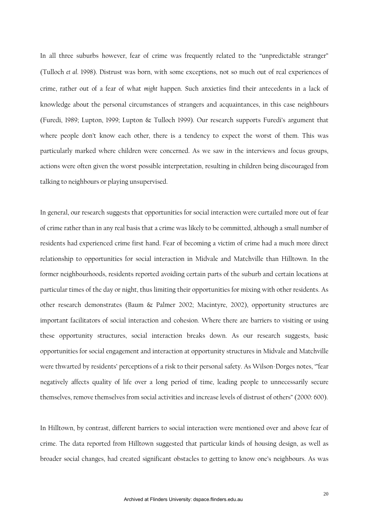In all three suburbs however, fear of crime was frequently related to the "unpredictable stranger" (Tulloch *et al*. 1998). Distrust was born, with some exceptions, not so much out of real experiences of crime, rather out of a fear of what *might* happen. Such anxieties find their antecedents in a lack of knowledge about the personal circumstances of strangers and acquaintances, in this case neighbours (Furedi, 1989; Lupton, 1999; Lupton & Tulloch 1999). Our research supports Furedi's argument that where people don't know each other, there is a tendency to expect the worst of them. This was particularly marked where children were concerned. As we saw in the interviews and focus groups, actions were often given the worst possible interpretation, resulting in children being discouraged from talking to neighbours or playing unsupervised.

In general, our research suggests that opportunities for social interaction were curtailed more out of fear of crime rather than in any real basis that a crime was likely to be committed, although a small number of residents had experienced crime first hand. Fear of becoming a victim of crime had a much more direct relationship to opportunities for social interaction in Midvale and Matchville than Hilltown. In the former neighbourhoods, residents reported avoiding certain parts of the suburb and certain locations at particular times of the day or night, thus limiting their opportunities for mixing with other residents. As other research demonstrates (Baum & Palmer 2002; Macintyre, 2002), opportunity structures are important facilitators of social interaction and cohesion. Where there are barriers to visiting or using these opportunity structures, social interaction breaks down. As our research suggests, basic opportunities for social engagement and interaction at opportunity structures in Midvale and Matchville were thwarted by residents' perceptions of a risk to their personal safety. As Wilson-Dorges notes, '"fear negatively affects quality of life over a long period of time, leading people to unnecessarily secure themselves, remove themselves from social activities and increase levels of distrust of others" (2000: 600).

In Hilltown, by contrast, different barriers to social interaction were mentioned over and above fear of crime. The data reported from Hilltown suggested that particular kinds of housing design, as well as broader social changes, had created significant obstacles to getting to know one's neighbours. As was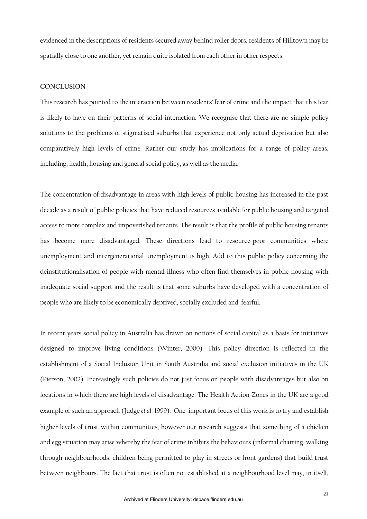evidenced in the descriptions of residents secured away behind roller doors, residents of Hilltown may be spatially close to one another, yet remain quite isolated from each other in other respects.

#### **CONCLUSION**

This research has pointed to the interaction between residents' fear of crime and the impact that this fear is likely to have on their patterns of social interaction. We recognise that there are no simple policy solutions to the problems of stigmatised suburbs that experience not only actual deprivation but also comparatively high levels of crime. Rather our study has implications for a range of policy areas, including, health, housing and general social policy, as well as the media.

The concentration of disadvantage in areas with high levels of public housing has increased in the past decade as a result of public policies that have reduced resources available for public housing and targeted access to more complex and impoverished tenants. The result is that the profile of public housing tenants has become more disadvantaged. These directions lead to resource-poor communities where unemployment and intergenerational unemployment is high. Add to this public policy concerning the deinstitutionalisation of people with mental illness who often find themselves in public housing with inadequate social support and the result is that some suburbs have developed with a concentration of people who are likely to be economically deprived, socially excluded and fearful.

In recent years social policy in Australia has drawn on notions of social capital as a basis for initiatives designed to improve living conditions (Winter, 2000). This policy direction is reflected in the establishment of a Social Inclusion Unit in South Australia and social exclusion initiatives in the UK (Pierson, 2002). Increasingly such policies do not just focus on people with disadvantages but also on locations in which there are high levels of disadvantage. The Health Action Zones in the UK are a good example of such an approach (Judge *et al*. 1999). One important focus of this work is to try and establish higher levels of trust within communities, however our research suggests that something of a chicken and egg situation may arise whereby the fear of crime inhibits the behaviours (informal chatting, walking through neighbourhoods, children being permitted to play in streets or front gardens) that build trust between neighbours. The fact that trust is often not established at a neighbourhood level may, in itself,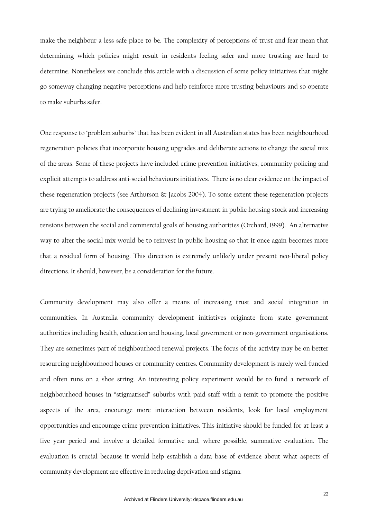make the neighbour a less safe place to be. The complexity of perceptions of trust and fear mean that determining which policies might result in residents feeling safer and more trusting are hard to determine. Nonetheless we conclude this article with a discussion of some policy initiatives that might go someway changing negative perceptions and help reinforce more trusting behaviours and so operate to make suburbs safer.

One response to 'problem suburbs' that has been evident in all Australian states has been neighbourhood regeneration policies that incorporate housing upgrades and deliberate actions to change the social mix of the areas. Some of these projects have included crime prevention initiatives, community policing and explicit attempts to address anti-social behaviours initiatives. There is no clear evidence on the impact of these regeneration projects (see Arthurson & Jacobs 2004). To some extent these regeneration projects are trying to ameliorate the consequences of declining investment in public housing stock and increasing tensions between the social and commercial goals of housing authorities (Orchard, 1999). An alternative way to alter the social mix would be to reinvest in public housing so that it once again becomes more that a residual form of housing. This direction is extremely unlikely under present neo-liberal policy directions. It should, however, be a consideration for the future.

Community development may also offer a means of increasing trust and social integration in communities. In Australia community development initiatives originate from state government authorities including health, education and housing, local government or non-government organisations. They are sometimes part of neighbourhood renewal projects. The focus of the activity may be on better resourcing neighbourhood houses or community centres. Community development is rarely well-funded and often runs on a shoe string. An interesting policy experiment would be to fund a network of neighbourhood houses in "stigmatised" suburbs with paid staff with a remit to promote the positive aspects of the area, encourage more interaction between residents, look for local employment opportunities and encourage crime prevention initiatives. This initiative should be funded for at least a five year period and involve a detailed formative and, where possible, summative evaluation. The evaluation is crucial because it would help establish a data base of evidence about what aspects of community development are effective in reducing deprivation and stigma.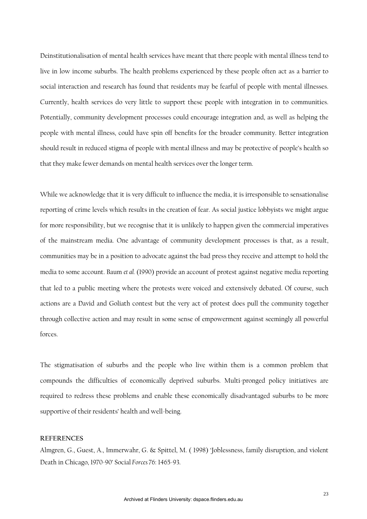Deinstitutionalisation of mental health services have meant that there people with mental illness tend to live in low income suburbs. The health problems experienced by these people often act as a barrier to social interaction and research has found that residents may be fearful of people with mental illnesses. Currently, health services do very little to support these people with integration in to communities. Potentially, community development processes could encourage integration and, as well as helping the people with mental illness, could have spin off benefits for the broader community. Better integration should result in reduced stigma of people with mental illness and may be protective of people's health so that they make fewer demands on mental health services over the longer term.

While we acknowledge that it is very difficult to influence the media, it is irresponsible to sensationalise reporting of crime levels which results in the creation of fear. As social justice lobbyists we might argue for more responsibility, but we recognise that it is unlikely to happen given the commercial imperatives of the mainstream media. One advantage of community development processes is that, as a result, communities may be in a position to advocate against the bad press they receive and attempt to hold the media to some account. Baum *et al.* (1990) provide an account of protest against negative media reporting that led to a public meeting where the protests were voiced and extensively debated. Of course, such actions are a David and Goliath contest but the very act of protest does pull the community together through collective action and may result in some sense of empowerment against seemingly all powerful forces.

The stigmatisation of suburbs and the people who live within them is a common problem that compounds the difficulties of economically deprived suburbs. Multi-pronged policy initiatives are required to redress these problems and enable these economically disadvantaged suburbs to be more supportive of their residents' health and well-being.

## **REFERENCES**

Almgren, G., Guest, A., Immerwahr, G. & Spittel, M. ( 1998) 'Joblessness, family disruption, and violent Death in Chicago, 1970-90' Social *Forces* 76: 1465-93.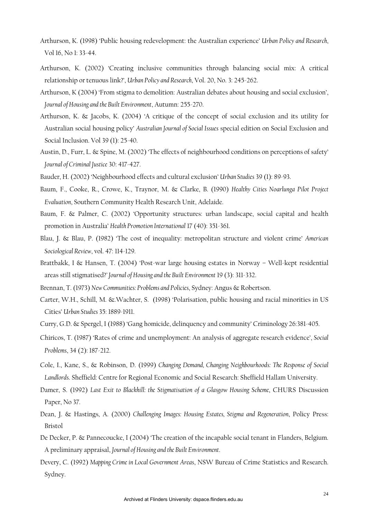- Arthurson, K. (1998) 'Public housing redevelopment: the Australian experience' *Urban Policy and Research*, Vol 16, No 1: 33-44.
- Arthurson, K. (2002) 'Creating inclusive communities through balancing social mix: A critical relationship or tenuous link?', *Urban Policy and Research*, Vol. 20, No. 3: 245-262.
- Arthurson, K (2004) 'From stigma to demolition: Australian debates about housing and social exclusion', *Journal of Housing and the Built Environment*, Autumn: 255-270.
- Arthurson, K. & Jacobs, K. (2004) 'A critique of the concept of social exclusion and its utility for Australian social housing policy' *Australian Journal of Social Issues* special edition on Social Exclusion and Social Inclusion. Vol 39 (1): 25-40.
- Austin, D., Furr, L. & Spine, M. (2002) 'The effects of neighbourhood conditions on perceptions of safety' *Journal of Criminal Justice* 30: 417-427.
- Bauder, H. (2002) 'Neighbourhood effects and cultural exclusion' *Urban Studies* 39 (1): 89-93.
- Baum, F., Cooke, R., Crowe, K., Traynor, M. & Clarke, B. (1990) *Healthy Cities Noarlunga Pilot Project Evaluation*, Southern Community Health Research Unit, Adelaide.
- Baum, F. & Palmer, C. (2002) 'Opportunity structures: urban landscape, social capital and health promotion in Australia' *Health Promotion International* 17 (40): 351-361.
- Blau, J. & Blau, P. (1982) 'The cost of inequality: metropolitan structure and violent crime' *American Sociological Review*, vol. 47: 114-129.
- Brattbakk, I & Hansen, T. (2004) 'Post-war large housing estates in Norway Well-kept residential areas still stigmatised?*' Journal of Housing and the Built Environment* 19 (3): 311-332.
- Brennan, T. (1973) *New Communities: Problems and Policies*, Sydney: Angus & Robertson.
- Carter, W.H., Schill, M. &.Wachter, S. (1998) 'Polarisation, public housing and racial minorities in US Cities' *Urban Studies* 35: 1889-1911.
- Curry, G.D. & Spergel, I (1988) 'Gang homicide, delinquency and community' Criminology 26:381-405.
- Chiricos, T. (1987) 'Rates of crime and unemployment: An analysis of aggregate research evidence', *Social Problems*, 34 (2): 187-212.
- Cole, I., Kane, S., & Robinson, D. (1999) *Changing Demand, Changing Neighbourhoods: The Response of Social Landlords*. Sheffield: Centre for Regional Economic and Social Research: Sheffield Hallam University.
- Damer, S. (1992) *Last Exit to Blackhill: the Stigmatisation of a Glasgow Housing Scheme*, CHURS Discussion Paper, No 37.
- Dean, J. & Hastings, A. (2000) *Challenging Images: Housing Estates, Stigma and Regeneration*, Policy Press: Bristol
- De Decker, P. & Pannecoucke, I (2004) 'The creation of the incapable social tenant in Flanders, Belgium. A preliminary appraisal, *Journal of Housing and the Built Environment*.
- Devery, C. (1992) *Mapping Crime in Local Government Areas*, NSW Bureau of Crime Statistics and Research. Sydney.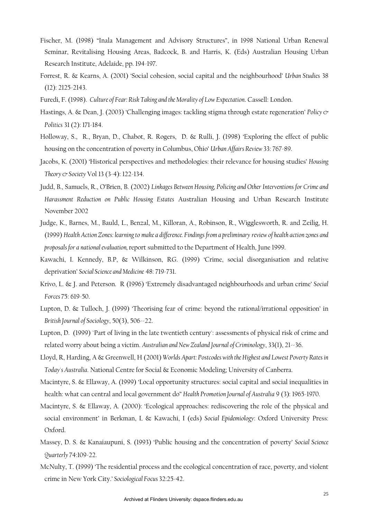- Fischer, M. (1998) "Inala Management and Advisory Structures", in 1998 National Urban Renewal Seminar, Revitalising Housing Areas, Badcock, B. and Harris, K. (Eds) Australian Housing Urban Research Institute, Adelaide, pp. 194-197.
- Forrest, R. & Kearns, A. (2001) 'Social cohesion, social capital and the neighbourhood' *Urban Studies* 38 (12): 2125-2143.
- Furedi, F. (1998). *Culture of Fear: Risk Taking and the Morality of Low Expectation*. Cassell: London.
- Hastings, A. & Dean, J. (2003) 'Challenging images: tackling stigma through estate regeneration' *Policy & Politics* 31 (2): 171-184.
- Holloway, S., R., Bryan, D., Chabot, R. Rogers, D. & Rulli, J. (1998) 'Exploring the effect of public housing on the concentration of poverty in Columbus, Ohio' *Urban Affairs Review* 33: 767-89.
- Jacobs, K. (2001) 'Historical perspectives and methodologies: their relevance for housing studies' *Housing Theory & Society* Vol 13 (3-4): 122-134.
- Judd, B., Samuels, R., O'Brien, B. (2002) *Linkages Between Housing, Policing and Other Interventions for Crime and Harassment Reduction on Public Housing Estates* Australian Housing and Urban Research Institute November 2002
- Judge, K., Barnes, M., Bauld, L., Benzal, M., Killoran, A., Robinson, R., Wigglesworth, R. and Zeilig, H. (1999) *Health Action Zones: learning to make a difference. Findings from a preliminary review of health action zones and proposals for a national evaluation,* report submitted to the Department of Health, June 1999.
- Kawachi, I. Kennedy, B.P, & Wilkinson, RG. (1999) 'Crime, social disorganisation and relative deprivation' *Social Science and Medicine* 48: 719-731.
- Krivo, L. & J. and Peterson. R (1996) 'Extremely disadvantaged neighbourhoods and urban crime' *Social Forces* 75: 619-50.
- Lupton, D. & Tulloch, J. (1999) 'Theorising fear of crime: beyond the rational/irrational opposition' in *British Journal of Sociology*, 50(3), 506--22.
- Lupton, D. (1999) `Part of living in the late twentieth century': assessments of physical risk of crime and related worry about being a victim. *Australian and New Zealand Journal of Criminology*, 33(1), 21--36.
- Lloyd, R, Harding, A & Greenwell, H (2001) *Worlds Apart: Postcodes with the Highest and Lowest Poverty Rates in Today's Australia*. National Centre for Social & Economic Modeling; University of Canberra.
- Macintyre, S. & Ellaway, A. (1999) 'Local opportunity structures: social capital and social inequalities in health: what can central and local government do" *Health Promotion Journal of Australia* 9 (3): 1965-1970.
- Macintyre, S. & Ellaway, A. (2000): 'Ecological approaches: rediscovering the role of the physical and social environment' in Berkman, L & Kawachi, I (eds) *Social Epidemiology*: Oxford University Press: Oxford.
- Massey, D. S. & Kanaiaupuni, S. (1993) 'Public housing and the concentration of poverty' *Social Science Quarterly* 74:109-22.
- McNulty, T. (1999) 'The residential process and the ecological concentration of race, poverty, and violent crime in New York City.' *Sociological Focus* 32:25-42.